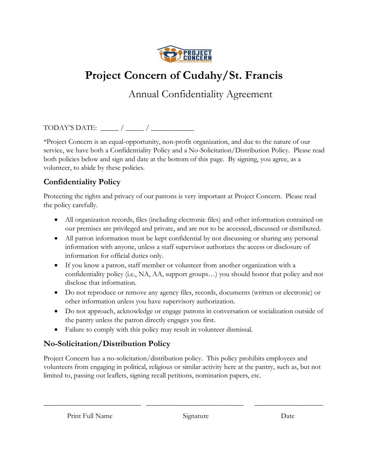

## **Project Concern of Cudahy/St. Francis**

Annual Confidentiality Agreement

TODAY'S DATE:  $\frac{1}{\sqrt{2\pi}}$  /

\*Project Concern is an equal-opportunity, non-profit organization, and due to the nature of our service, we have both a Confidentiality Policy and a No-Solicitation/Distribution Policy. Please read both policies below and sign and date at the bottom of this page. By signing, you agree, as a volunteer, to abide by these policies.

## **Confidentiality Policy**

Protecting the rights and privacy of our patrons is very important at Project Concern. Please read the policy carefully.

- All organization records, files (including electronic files) and other information contained on our premises are privileged and private, and are not to be accessed, discussed or distributed.
- All patron information must be kept confidential by not discussing or sharing any personal information with anyone, unless a staff supervisor authorizes the access or disclosure of information for official duties only.
- If you know a patron, staff member or volunteer from another organization with a confidentiality policy (i.e., NA, AA, support groups…) you should honor that policy and not disclose that information.
- Do not reproduce or remove any agency files, records, documents (written or electronic) or other information unless you have supervisory authorization.
- Do not approach, acknowledge or engage patrons in conversation or socialization outside of the pantry unless the patron directly engages you first.
- Failure to comply with this policy may result in volunteer dismissal.

## **No-Solicitation/Distribution Policy**

Project Concern has a no-solicitation/distribution policy. This policy prohibits employees and volunteers from engaging in political, religious or similar activity here at the pantry, such as, but not limited to, passing out leaflets, signing recall petitions, nomination papers, etc.

\_\_\_\_\_\_\_\_\_\_\_\_\_\_\_\_\_\_\_\_\_\_\_\_\_\_\_ \_\_\_\_\_\_\_\_\_\_\_\_\_\_\_\_\_\_\_\_\_\_\_\_\_\_\_ \_\_\_\_\_\_\_\_\_\_\_\_\_\_\_\_\_\_\_